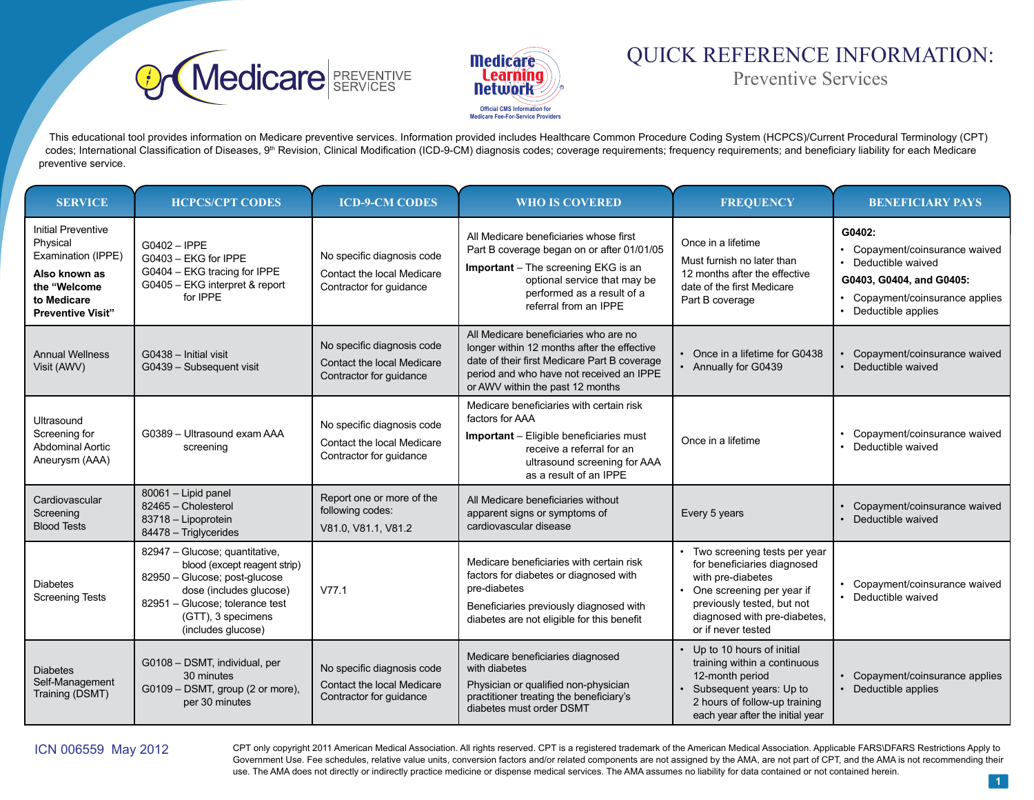



# QUICK REFERENCE INFORMATION: Preventive Services

This educational tool provides information on Medicare preventive services. Information provided includes Healthcare Common Procedure Coding System (HCPCS)/Current Procedural Terminology (CPT) codes; International Classification of Diseases, 9<sup>th</sup> Revision, Clinical Modification (ICD-9-CM) diagnosis codes; coverage requirements; frequency requirements; and beneficiary liability for each Medicare preventive service.

| <b>SERVICE</b>                                                                                                                   | <b>HCPCS/CPT CODES</b>                                                                                                                                                                                    | <b>ICD-9-CM CODES</b>                                                               | <b>WHO IS COVERED</b>                                                                                                                                                                                                | <b>FREQUENCY</b>                                                                                                                                                                                    | <b>BENEFICIARY PAYS</b>                                                                                                                        |
|----------------------------------------------------------------------------------------------------------------------------------|-----------------------------------------------------------------------------------------------------------------------------------------------------------------------------------------------------------|-------------------------------------------------------------------------------------|----------------------------------------------------------------------------------------------------------------------------------------------------------------------------------------------------------------------|-----------------------------------------------------------------------------------------------------------------------------------------------------------------------------------------------------|------------------------------------------------------------------------------------------------------------------------------------------------|
| Initial Preventive<br>Physical<br>Examination (IPPE)<br>Also known as<br>the "Welcome<br>to Medicare<br><b>Preventive Visit"</b> | G0402 - IPPE<br>G0403 - EKG for IPPE<br>G0404 - EKG tracing for IPPE<br>G0405 - EKG interpret & report<br>for IPPE                                                                                        | No specific diagnosis code<br>Contact the local Medicare<br>Contractor for guidance | All Medicare beneficiaries whose first<br>Part B coverage began on or after 01/01/05<br>Important - The screening EKG is an<br>optional service that may be<br>performed as a result of a<br>referral from an IPPE   | Once in a lifetime<br>Must furnish no later than<br>12 months after the effective<br>date of the first Medicare<br>Part B coverage                                                                  | G0402:<br>Copayment/coinsurance waived<br>Deductible waived<br>G0403, G0404, and G0405:<br>Copayment/coinsurance applies<br>Deductible applies |
| <b>Annual Wellness</b><br>Visit (AWV)                                                                                            | G0438 - Initial visit<br>G0439 - Subsequent visit                                                                                                                                                         | No specific diagnosis code<br>Contact the local Medicare<br>Contractor for guidance | All Medicare beneficiaries who are no<br>longer within 12 months after the effective<br>date of their first Medicare Part B coverage<br>period and who have not received an IPPE<br>or AWV within the past 12 months | • Once in a lifetime for G0438<br>• Annually for G0439                                                                                                                                              | Copayment/coinsurance waived<br>Deductible waived<br>$\bullet$                                                                                 |
| Ultrasound<br>Screening for<br><b>Abdominal Aortic</b><br>Aneurysm (AAA)                                                         | G0389 - Ultrasound exam AAA<br>screening                                                                                                                                                                  | No specific diagnosis code<br>Contact the local Medicare<br>Contractor for guidance | Medicare beneficiaries with certain risk<br>factors for AAA<br><b>Important</b> – Eligible beneficiaries must<br>receive a referral for an<br>ultrasound screening for AAA<br>as a result of an IPPE                 | Once in a lifetime                                                                                                                                                                                  | Copayment/coinsurance waived<br>• Deductible waived                                                                                            |
| Cardiovascular<br>Screening<br><b>Blood Tests</b>                                                                                | 80061 - Lipid panel<br>82465 - Cholesterol<br>83718 - Lipoprotein<br>84478 - Triglycerides                                                                                                                | Report one or more of the<br>following codes:<br>V81.0, V81.1, V81.2                | All Medicare beneficiaries without<br>apparent signs or symptoms of<br>cardiovascular disease                                                                                                                        | Every 5 years                                                                                                                                                                                       | Copayment/coinsurance waived<br>Deductible waived                                                                                              |
| <b>Diabetes</b><br><b>Screening Tests</b>                                                                                        | 82947 - Glucose; quantitative,<br>blood (except reagent strip)<br>82950 - Glucose; post-glucose<br>dose (includes glucose)<br>82951 - Glucose; tolerance test<br>(GTT), 3 specimens<br>(includes glucose) | V77.1                                                                               | Medicare beneficiaries with certain risk<br>factors for diabetes or diagnosed with<br>pre-diabetes<br>Beneficiaries previously diagnosed with<br>diabetes are not eligible for this benefit                          | • Two screening tests per year<br>for beneficiaries diagnosed<br>with pre-diabetes<br>One screening per year if<br>previously tested, but not<br>diagnosed with pre-diabetes,<br>or if never tested | Copayment/coinsurance waived<br>• Deductible waived                                                                                            |
| <b>Diabetes</b><br>Self-Management<br>Training (DSMT)                                                                            | G0108 - DSMT, individual, per<br>30 minutes<br>G0109 - DSMT, group (2 or more),<br>per 30 minutes                                                                                                         | No specific diagnosis code<br>Contact the local Medicare<br>Contractor for guidance | Medicare beneficiaries diagnosed<br>with diabetes<br>Physician or qualified non-physician<br>practitioner treating the beneficiary's<br>diabetes must order DSMT                                                     | Up to 10 hours of initial<br>training within a continuous<br>12-month period<br>Subsequent years: Up to<br>2 hours of follow-up training<br>each year after the initial year                        | Copayment/coinsurance applies<br>• Deductible applies                                                                                          |

ICN 006559 May 2012 CPT only copyright 2011 American Medical Association. All rights reserved. CPT is a registered trademark of the American Medical Association. Applicable FARS\DFARS Restrictions Apply to Government Use. Fee schedules, relative value units, conversion factors and/or related components are not assigned by the AMA, are not part of CPT, and the AMA is not recommending their use. The AMA does not directly or indirectly practice medicine or dispense medical services. The AMA assumes no liability for data contained or not contained herein.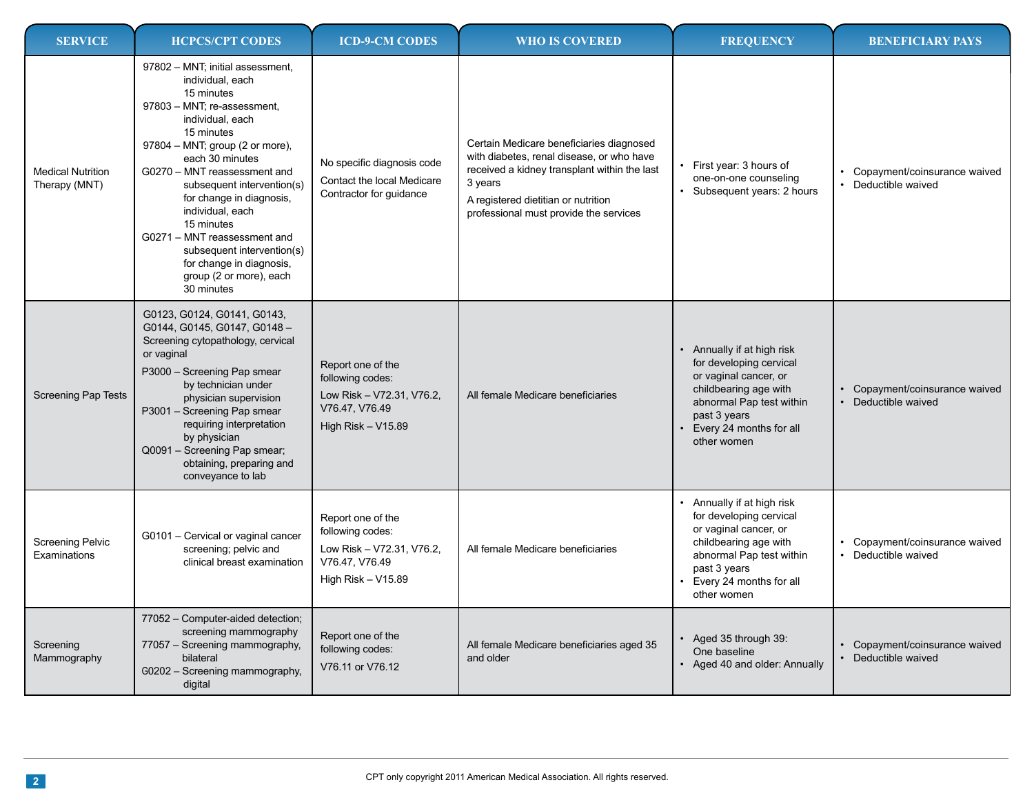| <b>SERVICE</b>                            | <b>HCPCS/CPT CODES</b>                                                                                                                                                                                                                                                                                                                                                                                                                                   | <b>ICD-9-CM CODES</b>                                                                                        | <b>WHO IS COVERED</b>                                                                                                                                                                                                             | <b>FREQUENCY</b>                                                                                                                                                                              | <b>BENEFICIARY PAYS</b>                               |
|-------------------------------------------|----------------------------------------------------------------------------------------------------------------------------------------------------------------------------------------------------------------------------------------------------------------------------------------------------------------------------------------------------------------------------------------------------------------------------------------------------------|--------------------------------------------------------------------------------------------------------------|-----------------------------------------------------------------------------------------------------------------------------------------------------------------------------------------------------------------------------------|-----------------------------------------------------------------------------------------------------------------------------------------------------------------------------------------------|-------------------------------------------------------|
| <b>Medical Nutrition</b><br>Therapy (MNT) | 97802 - MNT; initial assessment,<br>individual, each<br>15 minutes<br>97803 - MNT; re-assessment,<br>individual, each<br>15 minutes<br>97804 - MNT; group (2 or more),<br>each 30 minutes<br>G0270 - MNT reassessment and<br>subsequent intervention(s)<br>for change in diagnosis,<br>individual, each<br>15 minutes<br>G0271 - MNT reassessment and<br>subsequent intervention(s)<br>for change in diagnosis,<br>group (2 or more), each<br>30 minutes | No specific diagnosis code<br>Contact the local Medicare<br>Contractor for guidance                          | Certain Medicare beneficiaries diagnosed<br>with diabetes, renal disease, or who have<br>received a kidney transplant within the last<br>3 years<br>A registered dietitian or nutrition<br>professional must provide the services | First year: 3 hours of<br>one-on-one counseling<br>Subsequent years: 2 hours                                                                                                                  | Copayment/coinsurance waived<br>Deductible waived     |
| <b>Screening Pap Tests</b>                | G0123, G0124, G0141, G0143,<br>G0144, G0145, G0147, G0148-<br>Screening cytopathology, cervical<br>or vaginal<br>P3000 - Screening Pap smear<br>by technician under<br>physician supervision<br>P3001 - Screening Pap smear<br>requiring interpretation<br>by physician<br>Q0091 - Screening Pap smear;<br>obtaining, preparing and<br>conveyance to lab                                                                                                 | Report one of the<br>following codes:<br>Low Risk - V72.31, V76.2,<br>V76.47, V76.49<br>High Risk $-$ V15.89 | All female Medicare beneficiaries                                                                                                                                                                                                 | • Annually if at high risk<br>for developing cervical<br>or vaginal cancer, or<br>childbearing age with<br>abnormal Pap test within<br>past 3 years<br>Every 24 months for all<br>other women | Copayment/coinsurance waived<br>Deductible waived     |
| <b>Screening Pelvic</b><br>Examinations   | G0101 - Cervical or vaginal cancer<br>screening; pelvic and<br>clinical breast examination                                                                                                                                                                                                                                                                                                                                                               | Report one of the<br>following codes:<br>Low Risk - V72.31, V76.2,<br>V76.47, V76.49<br>High Risk $-$ V15.89 | All female Medicare beneficiaries                                                                                                                                                                                                 | • Annually if at high risk<br>for developing cervical<br>or vaginal cancer, or<br>childbearing age with<br>abnormal Pap test within<br>past 3 years<br>Every 24 months for all<br>other women | Copayment/coinsurance waived<br>• Deductible waived   |
| Screening<br>Mammography                  | 77052 - Computer-aided detection;<br>screening mammography<br>77057 - Screening mammography,<br>bilateral<br>G0202 - Screening mammography,<br>digital                                                                                                                                                                                                                                                                                                   | Report one of the<br>following codes:<br>V76.11 or V76.12                                                    | All female Medicare beneficiaries aged 35<br>and older                                                                                                                                                                            | Aged 35 through 39:<br>One baseline<br>• Aged 40 and older: Annually                                                                                                                          | • Copayment/coinsurance waived<br>• Deductible waived |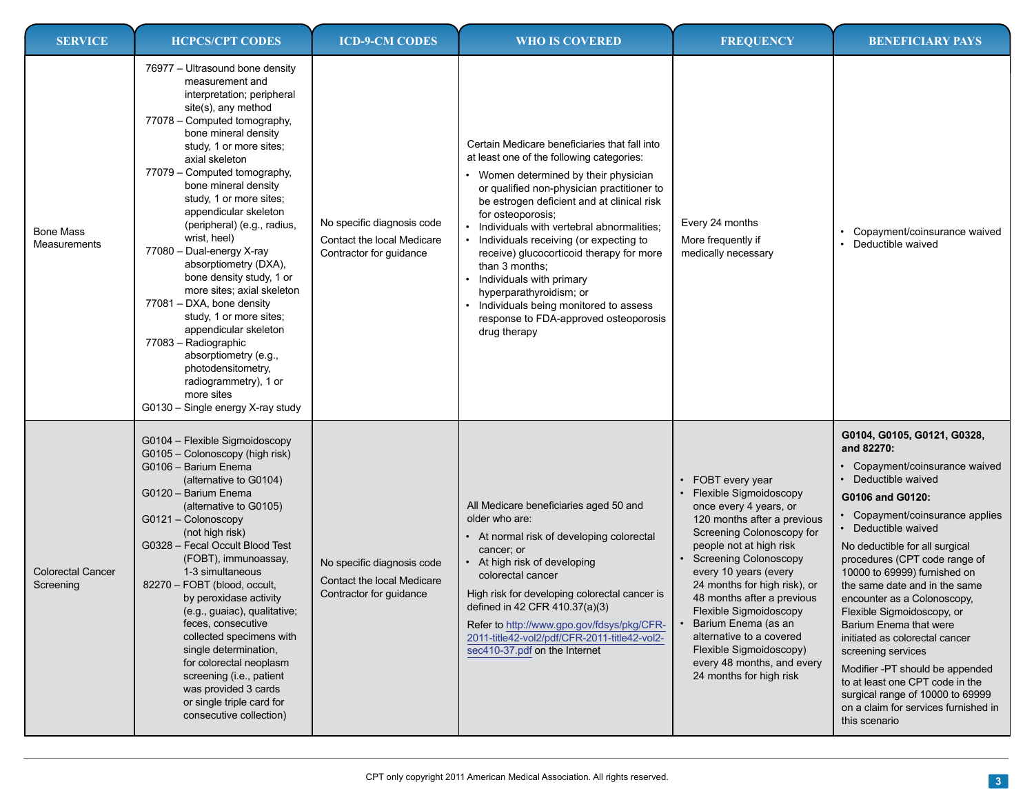| <b>SERVICE</b>                        | <b>HCPCS/CPT CODES</b>                                                                                                                                                                                                                                                                                                                                                                                                                                                                                                                                                                                                                                                                                                      | <b>ICD-9-CM CODES</b>                                                               | <b>WHO IS COVERED</b>                                                                                                                                                                                                                                                                                                                                                                                                                                                                                                                                            | <b>FREQUENCY</b>                                                                                                                                                                                                                                                                                                                                                                                                                                       | <b>BENEFICIARY PAYS</b>                                                                                                                                                                                                                                                                                                                                                                                                                                                                                                                                                                                                              |
|---------------------------------------|-----------------------------------------------------------------------------------------------------------------------------------------------------------------------------------------------------------------------------------------------------------------------------------------------------------------------------------------------------------------------------------------------------------------------------------------------------------------------------------------------------------------------------------------------------------------------------------------------------------------------------------------------------------------------------------------------------------------------------|-------------------------------------------------------------------------------------|------------------------------------------------------------------------------------------------------------------------------------------------------------------------------------------------------------------------------------------------------------------------------------------------------------------------------------------------------------------------------------------------------------------------------------------------------------------------------------------------------------------------------------------------------------------|--------------------------------------------------------------------------------------------------------------------------------------------------------------------------------------------------------------------------------------------------------------------------------------------------------------------------------------------------------------------------------------------------------------------------------------------------------|--------------------------------------------------------------------------------------------------------------------------------------------------------------------------------------------------------------------------------------------------------------------------------------------------------------------------------------------------------------------------------------------------------------------------------------------------------------------------------------------------------------------------------------------------------------------------------------------------------------------------------------|
| <b>Bone Mass</b><br>Measurements      | 76977 - Ultrasound bone density<br>measurement and<br>interpretation; peripheral<br>site(s), any method<br>77078 - Computed tomography,<br>bone mineral density<br>study, 1 or more sites;<br>axial skeleton<br>77079 - Computed tomography,<br>bone mineral density<br>study, 1 or more sites;<br>appendicular skeleton<br>(peripheral) (e.g., radius,<br>wrist, heel)<br>77080 - Dual-energy X-ray<br>absorptiometry (DXA),<br>bone density study, 1 or<br>more sites; axial skeleton<br>77081 - DXA, bone density<br>study, 1 or more sites;<br>appendicular skeleton<br>77083 - Radiographic<br>absorptiometry (e.g.,<br>photodensitometry,<br>radiogrammetry), 1 or<br>more sites<br>G0130 - Single energy X-ray study | No specific diagnosis code<br>Contact the local Medicare<br>Contractor for guidance | Certain Medicare beneficiaries that fall into<br>at least one of the following categories:<br>Women determined by their physician<br>or qualified non-physician practitioner to<br>be estrogen deficient and at clinical risk<br>for osteoporosis;<br>Individuals with vertebral abnormalities;<br>Individuals receiving (or expecting to<br>receive) glucocorticoid therapy for more<br>than 3 months;<br>Individuals with primary<br>hyperparathyroidism; or<br>Individuals being monitored to assess<br>response to FDA-approved osteoporosis<br>drug therapy | Every 24 months<br>More frequently if<br>medically necessary                                                                                                                                                                                                                                                                                                                                                                                           | Copayment/coinsurance waived<br>Deductible waived                                                                                                                                                                                                                                                                                                                                                                                                                                                                                                                                                                                    |
| <b>Colorectal Cancer</b><br>Screening | G0104 - Flexible Sigmoidoscopy<br>G0105 - Colonoscopy (high risk)<br>G0106 - Barium Enema<br>(alternative to G0104)<br>G0120 - Barium Enema<br>(alternative to G0105)<br>G0121 - Colonoscopy<br>(not high risk)<br>G0328 - Fecal Occult Blood Test<br>(FOBT), immunoassay,<br>1-3 simultaneous<br>82270 - FOBT (blood, occult,<br>by peroxidase activity<br>(e.g., guaiac), qualitative;<br>feces, consecutive<br>collected specimens with<br>single determination.<br>for colorectal neoplasm<br>screening (i.e., patient<br>was provided 3 cards<br>or single triple card for<br>consecutive collection)                                                                                                                  | No specific diagnosis code<br>Contact the local Medicare<br>Contractor for guidance | All Medicare beneficiaries aged 50 and<br>older who are:<br>At normal risk of developing colorectal<br>cancer; or<br>• At high risk of developing<br>colorectal cancer<br>High risk for developing colorectal cancer is<br>defined in 42 CFR 410.37(a)(3)<br>Refer to http://www.gpo.gov/fdsys/pkg/CFR-<br>2011-title42-vol2/pdf/CFR-2011-title42-vol2-<br>sec410-37.pdf on the Internet                                                                                                                                                                         | • FOBT every year<br>• Flexible Sigmoidoscopy<br>once every 4 years, or<br>120 months after a previous<br>Screening Colonoscopy for<br>people not at high risk<br><b>Screening Colonoscopy</b><br>every 10 years (every<br>24 months for high risk), or<br>48 months after a previous<br>Flexible Sigmoidoscopy<br>Barium Enema (as an<br>alternative to a covered<br>Flexible Sigmoidoscopy)<br>every 48 months, and every<br>24 months for high risk | G0104, G0105, G0121, G0328,<br>and 82270:<br>• Copayment/coinsurance waived<br>Deductible waived<br>G0106 and G0120:<br>• Copayment/coinsurance applies<br>• Deductible waived<br>No deductible for all surgical<br>procedures (CPT code range of<br>10000 to 69999) furnished on<br>the same date and in the same<br>encounter as a Colonoscopy,<br>Flexible Sigmoidoscopy, or<br>Barium Enema that were<br>initiated as colorectal cancer<br>screening services<br>Modifier -PT should be appended<br>to at least one CPT code in the<br>surgical range of 10000 to 69999<br>on a claim for services furnished in<br>this scenario |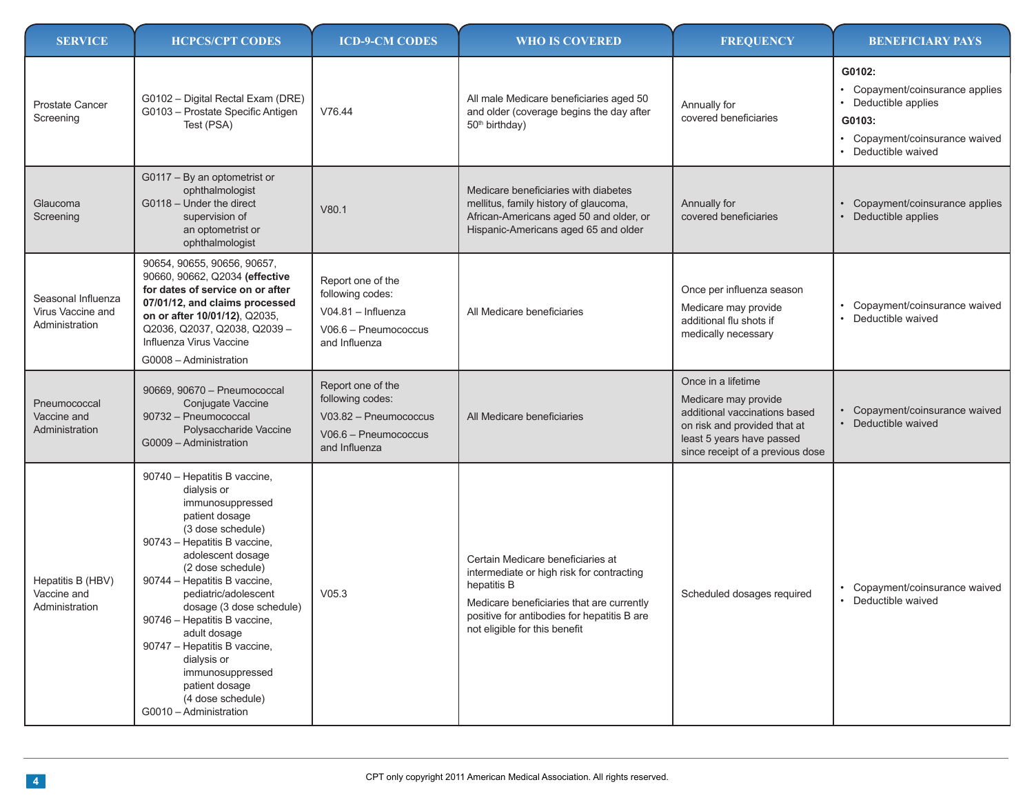| <b>SERVICE</b>                                            | <b>HCPCS/CPT CODES</b>                                                                                                                                                                                                                                                                                                                                                                                                                                   | <b>ICD-9-CM CODES</b>                                                                                   | <b>WHO IS COVERED</b>                                                                                                                                                                                                      | <b>FREQUENCY</b>                                                                                                                                                             | <b>BENEFICIARY PAYS</b>                                                                                                            |
|-----------------------------------------------------------|----------------------------------------------------------------------------------------------------------------------------------------------------------------------------------------------------------------------------------------------------------------------------------------------------------------------------------------------------------------------------------------------------------------------------------------------------------|---------------------------------------------------------------------------------------------------------|----------------------------------------------------------------------------------------------------------------------------------------------------------------------------------------------------------------------------|------------------------------------------------------------------------------------------------------------------------------------------------------------------------------|------------------------------------------------------------------------------------------------------------------------------------|
| Prostate Cancer<br>Screening                              | G0102 - Digital Rectal Exam (DRE)<br>G0103 - Prostate Specific Antigen<br>Test (PSA)                                                                                                                                                                                                                                                                                                                                                                     | V76.44                                                                                                  | All male Medicare beneficiaries aged 50<br>and older (coverage begins the day after<br>50 <sup>th</sup> birthday)                                                                                                          | Annually for<br>covered beneficiaries                                                                                                                                        | G0102:<br>• Copayment/coinsurance applies<br>Deductible applies<br>G0103:<br>• Copayment/coinsurance waived<br>• Deductible waived |
| Glaucoma<br>Screening                                     | G0117 - By an optometrist or<br>ophthalmologist<br>G0118 - Under the direct<br>supervision of<br>an optometrist or<br>ophthalmologist                                                                                                                                                                                                                                                                                                                    | V80.1                                                                                                   | Medicare beneficiaries with diabetes<br>mellitus, family history of glaucoma,<br>African-Americans aged 50 and older, or<br>Hispanic-Americans aged 65 and older                                                           | Annually for<br>covered beneficiaries                                                                                                                                        | Copayment/coinsurance applies<br>• Deductible applies                                                                              |
| Seasonal Influenza<br>Virus Vaccine and<br>Administration | 90654, 90655, 90656, 90657,<br>90660, 90662, Q2034 (effective<br>for dates of service on or after<br>07/01/12, and claims processed<br>on or after 10/01/12), Q2035,<br>Q2036, Q2037, Q2038, Q2039-<br>Influenza Virus Vaccine<br>G0008 - Administration                                                                                                                                                                                                 | Report one of the<br>following codes:<br>$V04.81 - Influenza$<br>V06.6 - Pneumococcus<br>and Influenza  | All Medicare beneficiaries                                                                                                                                                                                                 | Once per influenza season<br>Medicare may provide<br>additional flu shots if<br>medically necessary                                                                          | Copayment/coinsurance waived<br>Deductible waived                                                                                  |
| Pneumococcal<br>Vaccine and<br>Administration             | 90669, 90670 - Pneumococcal<br>Conjugate Vaccine<br>90732 - Pneumococcal<br>Polysaccharide Vaccine<br>G0009 - Administration                                                                                                                                                                                                                                                                                                                             | Report one of the<br>following codes:<br>V03.82 - Pneumococcus<br>V06.6 - Pneumococcus<br>and Influenza | All Medicare beneficiaries                                                                                                                                                                                                 | Once in a lifetime<br>Medicare may provide<br>additional vaccinations based<br>on risk and provided that at<br>least 5 years have passed<br>since receipt of a previous dose | Copayment/coinsurance waived<br>Deductible waived                                                                                  |
| Hepatitis B (HBV)<br>Vaccine and<br>Administration        | 90740 - Hepatitis B vaccine,<br>dialysis or<br>immunosuppressed<br>patient dosage<br>(3 dose schedule)<br>90743 - Hepatitis B vaccine,<br>adolescent dosage<br>(2 dose schedule)<br>90744 - Hepatitis B vaccine,<br>pediatric/adolescent<br>dosage (3 dose schedule)<br>90746 - Hepatitis B vaccine,<br>adult dosage<br>90747 - Hepatitis B vaccine,<br>dialysis or<br>immunosuppressed<br>patient dosage<br>(4 dose schedule)<br>G0010 - Administration | V05.3                                                                                                   | Certain Medicare beneficiaries at<br>intermediate or high risk for contracting<br>hepatitis B<br>Medicare beneficiaries that are currently<br>positive for antibodies for hepatitis B are<br>not eligible for this benefit | Scheduled dosages required                                                                                                                                                   | Copayment/coinsurance waived<br>• Deductible waived                                                                                |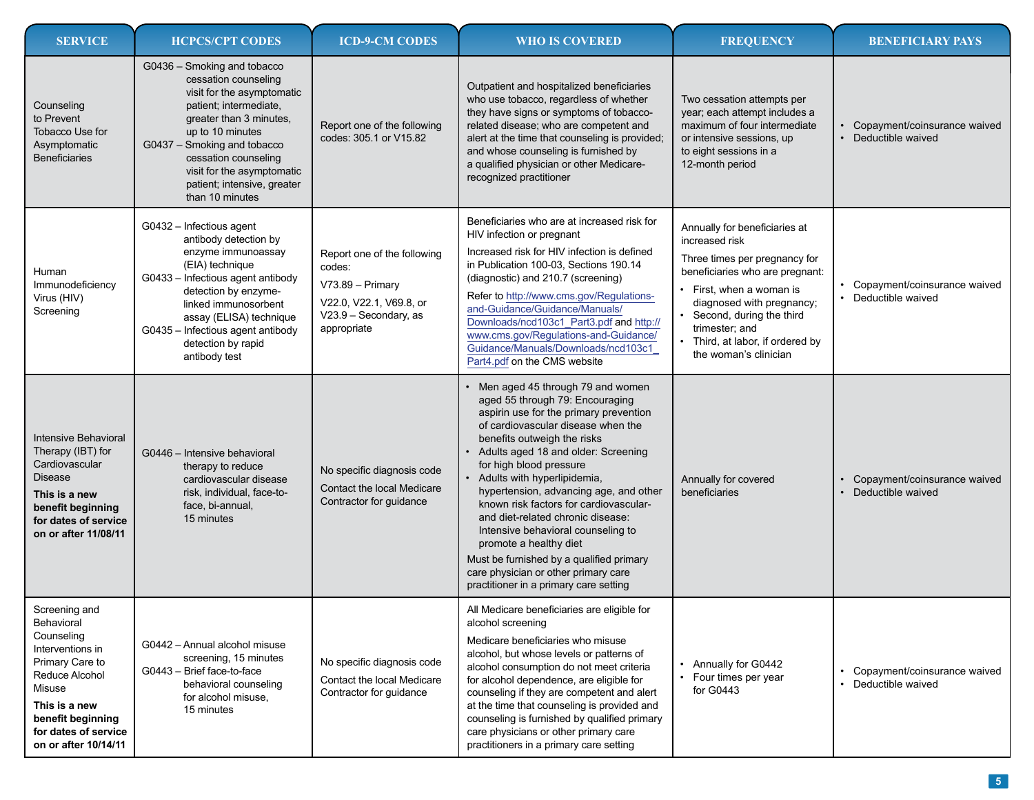| <b>SERVICE</b>                                                                                                                                                                                     | <b>HCPCS/CPT CODES</b>                                                                                                                                                                                                                                                                            | <b>ICD-9-CM CODES</b>                                                                                                        | <b>WHO IS COVERED</b>                                                                                                                                                                                                                                                                                                                                                                                                                                                                                                                                                                                      | <b>FREQUENCY</b>                                                                                                                                                                                                                                                                    | <b>BENEFICIARY PAYS</b>                             |
|----------------------------------------------------------------------------------------------------------------------------------------------------------------------------------------------------|---------------------------------------------------------------------------------------------------------------------------------------------------------------------------------------------------------------------------------------------------------------------------------------------------|------------------------------------------------------------------------------------------------------------------------------|------------------------------------------------------------------------------------------------------------------------------------------------------------------------------------------------------------------------------------------------------------------------------------------------------------------------------------------------------------------------------------------------------------------------------------------------------------------------------------------------------------------------------------------------------------------------------------------------------------|-------------------------------------------------------------------------------------------------------------------------------------------------------------------------------------------------------------------------------------------------------------------------------------|-----------------------------------------------------|
| Counseling<br>to Prevent<br>Tobacco Use for<br>Asymptomatic<br><b>Beneficiaries</b>                                                                                                                | G0436 - Smoking and tobacco<br>cessation counseling<br>visit for the asymptomatic<br>patient; intermediate,<br>greater than 3 minutes,<br>up to 10 minutes<br>G0437 - Smoking and tobacco<br>cessation counseling<br>visit for the asymptomatic<br>patient; intensive, greater<br>than 10 minutes | Report one of the following<br>codes: 305.1 or V15.82                                                                        | Outpatient and hospitalized beneficiaries<br>who use tobacco, regardless of whether<br>they have signs or symptoms of tobacco-<br>related disease; who are competent and<br>alert at the time that counseling is provided;<br>and whose counseling is furnished by<br>a qualified physician or other Medicare-<br>recognized practitioner                                                                                                                                                                                                                                                                  | Two cessation attempts per<br>year; each attempt includes a<br>maximum of four intermediate<br>or intensive sessions, up<br>to eight sessions in a<br>12-month period                                                                                                               | Copayment/coinsurance waived<br>• Deductible waived |
| Human<br>Immunodeficiency<br>Virus (HIV)<br>Screening                                                                                                                                              | G0432 - Infectious agent<br>antibody detection by<br>enzyme immunoassay<br>(EIA) technique<br>G0433 - Infectious agent antibody<br>detection by enzyme-<br>linked immunosorbent<br>assay (ELISA) technique<br>G0435 - Infectious agent antibody<br>detection by rapid<br>antibody test            | Report one of the following<br>codes:<br>V73.89 - Primary<br>V22.0, V22.1, V69.8, or<br>V23.9 - Secondary, as<br>appropriate | Beneficiaries who are at increased risk for<br>HIV infection or pregnant<br>Increased risk for HIV infection is defined<br>in Publication 100-03, Sections 190.14<br>(diagnostic) and 210.7 (screening)<br>Refer to http://www.cms.gov/Regulations-<br>and-Guidance/Guidance/Manuals/<br>Downloads/ncd103c1_Part3.pdf and http://<br>www.cms.gov/Regulations-and-Guidance/<br>Guidance/Manuals/Downloads/ncd103c1<br>Part4.pdf on the CMS website                                                                                                                                                          | Annually for beneficiaries at<br>increased risk<br>Three times per pregnancy for<br>beneficiaries who are pregnant:<br>First, when a woman is<br>diagnosed with pregnancy;<br>Second, during the third<br>trimester; and<br>Third, at labor, if ordered by<br>the woman's clinician | Copayment/coinsurance waived<br>• Deductible waived |
| Intensive Behavioral<br>Therapy (IBT) for<br>Cardiovascular<br><b>Disease</b><br>This is a new<br>benefit beginning<br>for dates of service<br>on or after 11/08/11                                | G0446 - Intensive behavioral<br>therapy to reduce<br>cardiovascular disease<br>risk, individual, face-to-<br>face, bi-annual,<br>15 minutes                                                                                                                                                       | No specific diagnosis code<br>Contact the local Medicare<br>Contractor for guidance                                          | Men aged 45 through 79 and women<br>aged 55 through 79: Encouraging<br>aspirin use for the primary prevention<br>of cardiovascular disease when the<br>benefits outweigh the risks<br>Adults aged 18 and older: Screening<br>for high blood pressure<br>Adults with hyperlipidemia,<br>hypertension, advancing age, and other<br>known risk factors for cardiovascular-<br>and diet-related chronic disease:<br>Intensive behavioral counseling to<br>promote a healthy diet<br>Must be furnished by a qualified primary<br>care physician or other primary care<br>practitioner in a primary care setting | Annually for covered<br>beneficiaries                                                                                                                                                                                                                                               | Copayment/coinsurance waived<br>Deductible waived   |
| Screening and<br>Behavioral<br>Counseling<br>Interventions in<br>Primary Care to<br>Reduce Alcohol<br>Misuse<br>This is a new<br>benefit beginning<br>for dates of service<br>on or after 10/14/11 | G0442 - Annual alcohol misuse<br>screening, 15 minutes<br>G0443 - Brief face-to-face<br>behavioral counseling<br>for alcohol misuse,<br>15 minutes                                                                                                                                                | No specific diagnosis code<br>Contact the local Medicare<br>Contractor for guidance                                          | All Medicare beneficiaries are eligible for<br>alcohol screening<br>Medicare beneficiaries who misuse<br>alcohol, but whose levels or patterns of<br>alcohol consumption do not meet criteria<br>for alcohol dependence, are eligible for<br>counseling if they are competent and alert<br>at the time that counseling is provided and<br>counseling is furnished by qualified primary<br>care physicians or other primary care<br>practitioners in a primary care setting                                                                                                                                 | Annually for G0442<br>Four times per year<br>for G0443                                                                                                                                                                                                                              | Copayment/coinsurance waived<br>• Deductible waived |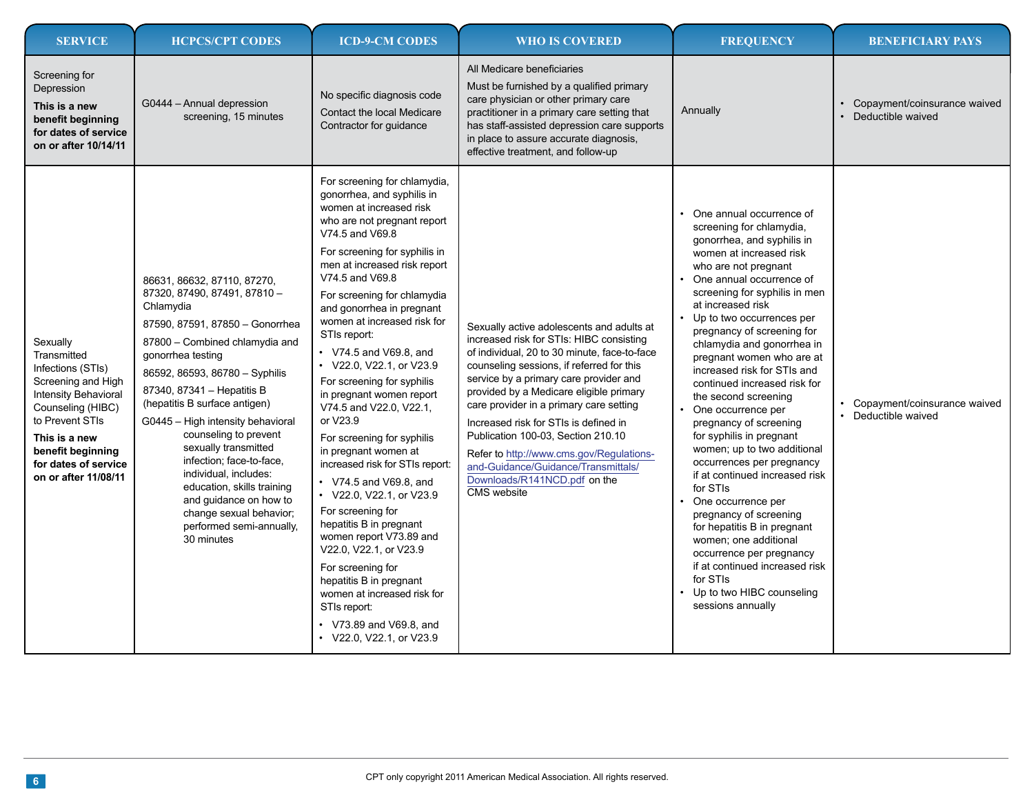| <b>SERVICE</b>                                                                                                                                                                                                                  | <b>HCPCS/CPT CODES</b>                                                                                                                                                                                                                                                                                                                                                                                                                                                                                                                      | <b>ICD-9-CM CODES</b>                                                                                                                                                                                                                                                                                                                                                                                                                                                                                                                                                                                                                                                                                                                                                                                                                                                                                         | <b>WHO IS COVERED</b>                                                                                                                                                                                                                                                                                                                                                                                                                                                                                                               | <b>FREQUENCY</b>                                                                                                                                                                                                                                                                                                                                                                                                                                                                                                                                                                                                                                                                                                                                                                                                                                               | <b>BENEFICIARY PAYS</b>                               |
|---------------------------------------------------------------------------------------------------------------------------------------------------------------------------------------------------------------------------------|---------------------------------------------------------------------------------------------------------------------------------------------------------------------------------------------------------------------------------------------------------------------------------------------------------------------------------------------------------------------------------------------------------------------------------------------------------------------------------------------------------------------------------------------|---------------------------------------------------------------------------------------------------------------------------------------------------------------------------------------------------------------------------------------------------------------------------------------------------------------------------------------------------------------------------------------------------------------------------------------------------------------------------------------------------------------------------------------------------------------------------------------------------------------------------------------------------------------------------------------------------------------------------------------------------------------------------------------------------------------------------------------------------------------------------------------------------------------|-------------------------------------------------------------------------------------------------------------------------------------------------------------------------------------------------------------------------------------------------------------------------------------------------------------------------------------------------------------------------------------------------------------------------------------------------------------------------------------------------------------------------------------|----------------------------------------------------------------------------------------------------------------------------------------------------------------------------------------------------------------------------------------------------------------------------------------------------------------------------------------------------------------------------------------------------------------------------------------------------------------------------------------------------------------------------------------------------------------------------------------------------------------------------------------------------------------------------------------------------------------------------------------------------------------------------------------------------------------------------------------------------------------|-------------------------------------------------------|
| Screening for<br>Depression<br>This is a new<br>benefit beginning<br>for dates of service<br>on or after 10/14/11                                                                                                               | G0444 - Annual depression<br>screening, 15 minutes                                                                                                                                                                                                                                                                                                                                                                                                                                                                                          | No specific diagnosis code<br>Contact the local Medicare<br>Contractor for guidance                                                                                                                                                                                                                                                                                                                                                                                                                                                                                                                                                                                                                                                                                                                                                                                                                           | All Medicare beneficiaries<br>Must be furnished by a qualified primary<br>care physician or other primary care<br>practitioner in a primary care setting that<br>has staff-assisted depression care supports<br>in place to assure accurate diagnosis,<br>effective treatment, and follow-up                                                                                                                                                                                                                                        | Annually                                                                                                                                                                                                                                                                                                                                                                                                                                                                                                                                                                                                                                                                                                                                                                                                                                                       | • Copayment/coinsurance waived<br>Deductible waived   |
| Sexually<br>Transmitted<br>Infections (STIs)<br>Screening and High<br><b>Intensity Behavioral</b><br>Counseling (HIBC)<br>to Prevent STIs<br>This is a new<br>benefit beginning<br>for dates of service<br>on or after 11/08/11 | 86631, 86632, 87110, 87270,<br>87320, 87490, 87491, 87810 -<br>Chlamydia<br>87590, 87591, 87850 - Gonorrhea<br>87800 - Combined chlamydia and<br>gonorrhea testing<br>86592, 86593, 86780 - Syphilis<br>87340, 87341 - Hepatitis B<br>(hepatitis B surface antigen)<br>G0445 - High intensity behavioral<br>counseling to prevent<br>sexually transmitted<br>infection; face-to-face,<br>individual, includes:<br>education, skills training<br>and guidance on how to<br>change sexual behavior;<br>performed semi-annually,<br>30 minutes | For screening for chlamydia,<br>gonorrhea, and syphilis in<br>women at increased risk<br>who are not pregnant report<br>V74.5 and V69.8<br>For screening for syphilis in<br>men at increased risk report<br>V74.5 and V69.8<br>For screening for chlamydia<br>and gonorrhea in pregnant<br>women at increased risk for<br>STIs report:<br>• V74.5 and V69.8, and<br>$\cdot$ V22.0, V22.1, or V23.9<br>For screening for syphilis<br>in pregnant women report<br>V74.5 and V22.0, V22.1,<br>or V23.9<br>For screening for syphilis<br>in pregnant women at<br>increased risk for STIs report:<br>• V74.5 and V69.8, and<br>• V22.0, V22.1, or V23.9<br>For screening for<br>hepatitis B in pregnant<br>women report V73.89 and<br>V22.0, V22.1, or V23.9<br>For screening for<br>hepatitis B in pregnant<br>women at increased risk for<br>STIs report:<br>• V73.89 and V69.8, and<br>• V22.0, V22.1, or V23.9 | Sexually active adolescents and adults at<br>increased risk for STIs: HIBC consisting<br>of individual, 20 to 30 minute, face-to-face<br>counseling sessions, if referred for this<br>service by a primary care provider and<br>provided by a Medicare eligible primary<br>care provider in a primary care setting<br>Increased risk for STIs is defined in<br>Publication 100-03, Section 210.10<br>Refer to http://www.cms.gov/Regulations-<br>and-Guidance/Guidance/Transmittals/<br>Downloads/R141NCD.pdf on the<br>CMS website | One annual occurrence of<br>screening for chlamydia,<br>gonorrhea, and syphilis in<br>women at increased risk<br>who are not pregnant<br>One annual occurrence of<br>screening for syphilis in men<br>at increased risk<br>Up to two occurrences per<br>pregnancy of screening for<br>chlamydia and gonorrhea in<br>pregnant women who are at<br>increased risk for STIs and<br>continued increased risk for<br>the second screening<br>One occurrence per<br>pregnancy of screening<br>for syphilis in pregnant<br>women; up to two additional<br>occurrences per pregnancy<br>if at continued increased risk<br>for STIs<br>One occurrence per<br>pregnancy of screening<br>for hepatitis B in pregnant<br>women; one additional<br>occurrence per pregnancy<br>if at continued increased risk<br>for STIs<br>Up to two HIBC counseling<br>sessions annually | • Copayment/coinsurance waived<br>• Deductible waived |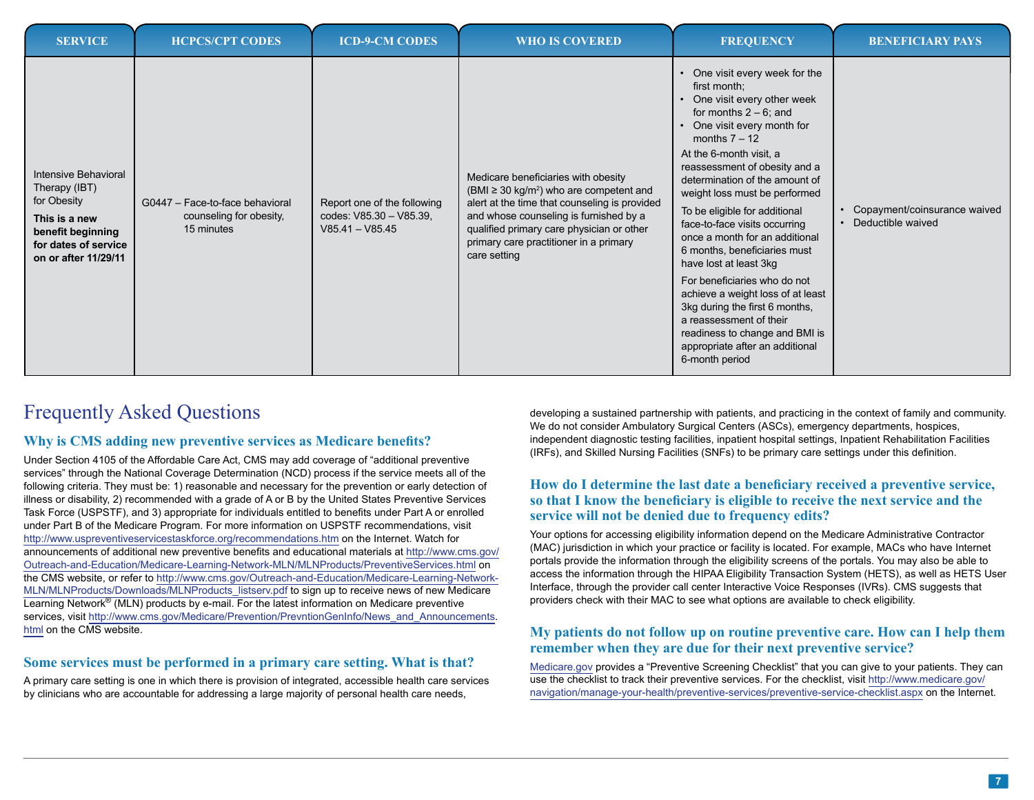| <b>SERVICE</b>                                                                                                                             | <b>HCPCS/CPT CODES</b>                                                   | <b>ICD-9-CM CODES</b>                                                       | <b>WHO IS COVERED</b>                                                                                                                                                                                                                                                                             | <b>FREQUENCY</b>                                                                                                                                                                                                                                                                                                                                                                                                                                                                                                                                                                                                                                                             | <b>BENEFICIARY PAYS</b>                             |
|--------------------------------------------------------------------------------------------------------------------------------------------|--------------------------------------------------------------------------|-----------------------------------------------------------------------------|---------------------------------------------------------------------------------------------------------------------------------------------------------------------------------------------------------------------------------------------------------------------------------------------------|------------------------------------------------------------------------------------------------------------------------------------------------------------------------------------------------------------------------------------------------------------------------------------------------------------------------------------------------------------------------------------------------------------------------------------------------------------------------------------------------------------------------------------------------------------------------------------------------------------------------------------------------------------------------------|-----------------------------------------------------|
| Intensive Behavioral<br>Therapy (IBT)<br>for Obesity<br>This is a new<br>benefit beginning<br>for dates of service<br>on or after 11/29/11 | G0447 - Face-to-face behavioral<br>counseling for obesity,<br>15 minutes | Report one of the following<br>codes: V85.30 - V85.39,<br>$V85.41 - V85.45$ | Medicare beneficiaries with obesity<br>(BMI $\geq$ 30 kg/m <sup>2</sup> ) who are competent and<br>alert at the time that counseling is provided<br>and whose counseling is furnished by a<br>qualified primary care physician or other<br>primary care practitioner in a primary<br>care setting | One visit every week for the<br>first month;<br>One visit every other week<br>for months $2 - 6$ ; and<br>One visit every month for<br>months $7 - 12$<br>At the 6-month visit, a<br>reassessment of obesity and a<br>determination of the amount of<br>weight loss must be performed<br>To be eligible for additional<br>face-to-face visits occurring<br>once a month for an additional<br>6 months, beneficiaries must<br>have lost at least 3kg<br>For beneficiaries who do not<br>achieve a weight loss of at least<br>3kg during the first 6 months,<br>a reassessment of their<br>readiness to change and BMI is<br>appropriate after an additional<br>6-month period | Copayment/coinsurance waived<br>• Deductible waived |

# Frequently Asked Questions

### **Why is CMS adding new preventive services as Medicare benefits?**

Under Section 4105 of the Affordable Care Act, CMS may add coverage of "additional preventive services" through the National Coverage Determination (NCD) process if the service meets all of the following criteria. They must be: 1) reasonable and necessary for the prevention or early detection of illness or disability, 2) recommended with a grade of A or B by the United States Preventive Services Task Force (USPSTF), and 3) appropriate for individuals entitled to benefits under Part A or enrolled under Part B of the Medicare Program. For more information on USPSTF recommendations, visit <http://www.uspreventiveservicestaskforce.org/recommendations.htm> on the Internet. Watch for announcements of additional new preventive benefits and educational materials at [http://www.cms.gov/](http://www.cms.gov/Outreach-and-Education/Medicare-Learning-Network-MLN/MLNProducts/PreventiveServices.html) [Outreach-and-Education/Medicare-Learning-Network-MLN/MLNProducts/PreventiveServices.](http://www.cms.gov/Outreach-and-Education/Medicare-Learning-Network-MLN/MLNProducts/PreventiveServices.html)html on the CMS website, or refer to [http://www.cms.gov/Outreach-and-Education/Medicare-Learning-Network-](http://www.cms.gov/Outreach-and-Education/Medicare-Learning-Network-MLN/MLNProducts/Downloads/MLNProducts_listserv.pdf)[MLN/MLNProducts/Downloads/MLNProducts\\_listserv.pdf](http://www.cms.gov/Outreach-and-Education/Medicare-Learning-Network-MLN/MLNProducts/Downloads/MLNProducts_listserv.pdf) to sign up to receive news of new Medicare Learning Network<sup>®</sup> (MLN) products by e-mail. For the latest information on Medicare preventive services, visit [http://www.cms.gov/Medicare/Prevention/PrevntionGenInfo/News\\_and\\_Announcements](http://www.cms.gov/Medicare/Prevention/PrevntionGenInfo/News_and_Announcements.html). [html](http://www.cms.gov/Medicare/Prevention/PrevntionGenInfo/News_and_Announcements.html) on the CMS website.

### **Some services must be performed in a primary care setting. What is that?**

A primary care setting is one in which there is provision of integrated, accessible health care services by clinicians who are accountable for addressing a large majority of personal health care needs,

developing a sustained partnership with patients, and practicing in the context of family and community. We do not consider Ambulatory Surgical Centers (ASCs), emergency departments, hospices, independent diagnostic testing facilities, inpatient hospital settings, Inpatient Rehabilitation Facilities (IRFs), and Skilled Nursing Facilities (SNFs) to be primary care settings under this definition.

## **How do I determine the last date a beneficiary received a preventive service, so that I know the beneficiary is eligible to receive the next service and the service will not be denied due to frequency edits?**

Your options for accessing eligibility information depend on the Medicare Administrative Contractor (MAC) jurisdiction in which your practice or facility is located. For example, MACs who have Internet portals provide the information through the eligibility screens of the portals. You may also be able to access the information through the HIPAA Eligibility Transaction System (HETS), as well as HETS User Interface, through the provider call center Interactive Voice Responses (IVRs). CMS suggests that providers check with their MAC to see what options are available to check eligibility.

## **My patients do not follow up on routine preventive care. How can I help them remember when they are due for their next preventive service?**

[Medicare.gov](http://www.medicare.gov) provides a "Preventive Screening Checklist" that you can give to your patients. They can use the checklist to track their preventive services. For the checklist, visit [http://www.medicare.gov/](http://www.medicare.gov/navigation/manage-your-health/preventive-services/preventive-service-checklist.aspx) [navigation/manage-your-health/preventive-services/preventive-service-checklist.aspx](http://www.medicare.gov/navigation/manage-your-health/preventive-services/preventive-service-checklist.aspx) on the Internet.